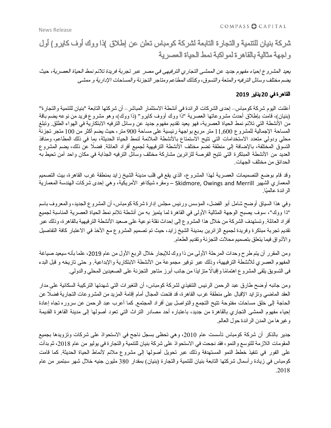COMPASS & CAPITAL

یعید المشروع إحیاء مفهوم جدید عن الممشى التجاري الترفیهى في مصر عبر تجربة فریدة تلائم نمط الحیاة العصریة، حیث یضم مختلف وسائل الترفیه والمتعة والتسوق، وكذلك المطاعم ومتاجر التجزئة والمساحات الإداریة <sup>و</sup> ممشى

## القاهرة في **20** ینایر **2019**

أعلنت الیوم شركة كومباس– إحدى الشركات الرائدة في أنشطة الاستثمار المباشر– أن شركتها التابعة "بنیان للتنمیة والتجارة" (بنیان)، قامت بإطلاق أحدث مشروعاتها العصریة "ذا ووك أووف كایرو" (ذا ووك)، وهو مشروع فرید من نوعه یضم باقة من الأنشطة التي تلائم نمط الحیاة العصریة، فهو یعید تقدیم مفهوم جدید عن وسائل الترفیه الابتكاریة في الهواء الطلق. وتبلغ المساحة الإجمالیة للمشروع 11,600 متر مربع بواجهة رئیسیة على مساحة 900 متر، حیث یضم أكثر من 100 متجر تجزئة محلي ودولي متعدد الاستخدامات التي تتیح الاستمتاع بالأنشطة الملائمة لنمط الحیاة الحدیثة، بما في ذلك المطاعم، ومنافذ التسوق المختلفة، بالإضافة إلى منطقة تضم مختلف الأنشطة الترفیهیة لجمیع أفراد العائلة. ً فضلا عن ذلك، یضم المشروع العدید من الأنشطة المبتكرة التي تتیح الفرصة للزائرین مشاركة مختلف وسائل الترفیه الجذابة في مكان واحد آمن تحیط به الحدائق من مختلف الجهات.

وقد قام بوضع التصمیمات العصریة لهذا المشروع، الذي یقع في قلب مدینة الشیخ زاید بمنطقة غرب القاهرة، بیت التصمیم المعماري الشهیر Skidmore, Owings and Merrill – ومقره شیكاغو الأمریكیة، وهي إحدى شركات الهندسة المعماریة الر ائدة عالميًا.

وفي هذا السیاق أوضح شامل أبو الفضل، المؤسس ورئیس مجلس إدارة شركة كومباس، أن المشروع الجدید، والمعروف باسم "ذا ووك"، سوف یصبح الوجهة المثالیة الأولى في القاهرة لما یتمیز به من أنشطة تلائم نمط الحیاة العصریة المناسبة لجمیع أفراد العائلة. وتستهدف الشركة من خلال هذا المشروع إلى إحداث نقلة نوعیة على صعید الأنشطة الترفیهیة بالقاهرة، وذلك عبر تقدیم تجربة مبتكرة وفریدة لجمیع الزائرین بمدینة الشیخ زاید، حیث تم تصمیم المشروع مع الأخذ في الاعتبار كافة التفاصیل والأذواق فیما یتعلق بتصمیم محلات التجزئة وتقدیم الطعام.

ومن المقرر أن يتم طرح وحدات المرحلة الأولى من ذا ووك للإيجار خلال الربع الأول من عام 2019، علما بأنه سيعيد صياغة المفهوم العصري للأنشطة الترفیهیة، وذلك عبر توفیر مجموعة من الأنشطة الابتكاریة والإبداعیة. و حتى تاریخه و قبل البدء فى التسويق يلقى المشروع اهتمامًا وإقبالًا متز ايدًا من جانب أبرز متاجر التجزئة على الصعيدين المحلي والدولي.

ومن جانبه أوضح طارق عبد الرحمن الرئیس التنفیذي لشركة كومباس، أن التغیرات التي شهدتها التركیبة السكانیة على مدار العقد الماضي وتزاید الإقبال على منطقة غرب القاهرة، قد فتحت المجال أمام إقامة المزید من المشروعات التجاریة ً فضلا عن الحاجة إلى خلق مساحات مفتوحة تتیح التجمع والتواصل بین أفراد المجتمع. كما أعرب عبد الرحمن عن سروره تجاه إعادة إحیاء مفهوم الممشى التجاري بالقاهرة من جدید، باعتباره أحد مصادر التراث التي تعود أصولها إلى مدینة القاهرة القدیمة وغیرها من المدن الرائدة حول العالم.

جدیر بالذكر أن شركة كومباس تأسست عام ،2010 وهي تحظى بسجل ناجح في الاستحواذ على شركات وتزویدها بجمیع المقومات اللازمة للتوسع والنمو، فقد نجحت في الاستحواذ على شركة بنیان للتنمیة والتجارة في یولیو من عام ،2018 ثم بدأت على الفور في تنفیذ خطط النمو المستهدفة وذلك عبر تحویل أصولها إلى مشروع ملائم لأنماط الحیاة الحدیثة. كما قامت كومباس في زیادة رأسمال شركتها التابعة بنیان للتنمیة والتجارة (بنیان) بمقدار 380 ملیون جنیه خلال شهر سبتمبر من عام .2018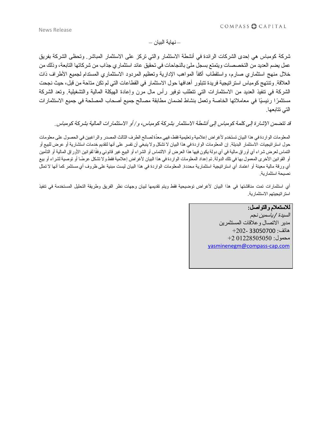– نهایة البیان –

شركة كومباس هي إحدى الشركات الرائدة في أنشطة الاستثمار والتي تركز على الاستثمار المباشر. وتحظى الشركة بفریق عمل یضم العدید من التخصصات ویتمتع بسجل ملئ بالنجاحات في تحقیق عائد استثماري جذاب من شركاتها التابعة، وذلك من خلال منهج استثماري صارم، واستقطاب أكفأ المواهب الإداریة وتعظیم المردود الاستثماري المستدام لجمیع الأطراف ذات العلاقة. وتنتهج كومباس استراتیجیة فریدة تتبلور أهدافها حول الاستثمار في القطاعات التي لم تكن متاحة من قبل، حیث نجحت الشركة في تنفیذ العدید من الاستثمارات التي تتطلب توفیر رأس مال مرن وإعادة الهیكلة المالیة والتشغیلیة. وتعد الشركة مستثمرًا رئيسيًا في معاملاتها الخاصة وتعمل بنشاط لضمان مطابقة مصالح جمیع أصحاب المصلحة في جمیع الاستثمارات التي تتابعها.

قد تتضمن الإشارة إلى كلمة كومباس إلى أنشطة الاستثمار بشركة كومباس، <sup>و</sup>*/* أو الاستثمارات المالیة بشركة كومباس*.*

المعلومات الواردة في هذا البیان تستخدم لأغراض إعلامیة وتعلیمیة فقط، فهي معّدة لصالح الطرف الثالث المصدر والراغبین في الحصول على معلومات حول استراتیجیات الاستثمار البدیلة. إن المعلومات الواردة في هذا البیان لا تشكل ولا ینبغي أن تفسر على أنها لتقدیم خدمات استشاریة أو عرض للبیع أو التماس لعرض شراء أي أوراق مالية في أي دولة يكون فيها هذا العرض أو الالتماس أو الشراء أو البيع غير قانوني وفقًا لقوانين الأوراق المالية أو التأمين أو القوانین الأخرى المعمول بها في تلك الدولة. تم إعداد المعلومات الواردة في هذا البیان لأغراض إعلامیة فقط ولا تشكل عر ًضا أو توصیة لشراء أو بیع أي ورقة مالیة معینة أو اعتماد أي استراتیجیة استثماریة محددة. المعلومات الواردة في هذا البیان لیست مبنیة على ظروف أي مستثمر كما أنها لا تمثل نصیحة استثماریة.

أي استثمارات تمت مناقشتها في هذا البیان لأغراض توضیحیة فقط ویتم تقدیمها لبیان وجهات نظر الفریق وطریقة التحلیل المستخدمة في تنفیذ استراتیجیتهم الاستثماریة.

> للاستعلام والتواصل**:** السیدة */* یاسمین نجم مدیر الاتصال وعلاقات المستثمرین هاتف: 33050700 +202- محمول: 01228505050 +2 [yasminenegm@compass-cap.com](mailto:yasminenegm@compass-cap.com)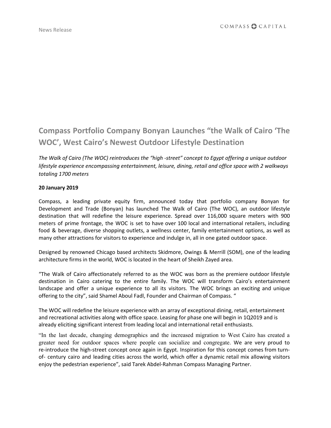# **Compass Portfolio Company Bonyan Launches "the Walk of Cairo 'The WOC' , West Cairo's Newest Outdoor Lifestyle Destination**

*The Walk of Cairo (The WOC) reintroduces the "high -street" concept to Egypt offering a unique outdoor lifestyle experience encompassing entertainment, leisure, dining, retail and office space with 2 walkways totaling 1700 meters*

### **20 January 2019**

Compass, a leading private equity firm, announced today that portfolio company Bonyan for Development and Trade (Bonyan) has launched The Walk of Cairo (The WOC), an outdoor lifestyle destination that will redefine the leisure experience. Spread over 116,000 square meters with 900 meters of prime frontage, the WOC is set to have over 100 local and international retailers, including food & beverage, diverse shopping outlets, a wellness center, family entertainment options, as well as many other attractions for visitors to experience and indulge in, all in one gated outdoor space.

Designed by renowned Chicago based architects Skidmore, Owings & Merrill (SOM), one of the leading architecture firms in the world, WOC is located in the heart of Sheikh Zayed area.

"The Walk of Cairo affectionately referred to as the WOC was born as the premiere outdoor lifestyle destination in Cairo catering to the entire family. The WOC will transform Cairo's entertainment landscape and offer a unique experience to all its visitors. The WOC brings an exciting and unique offering to the city", said Shamel Aboul Fadl, Founder and Chairman of Compass. "

The WOC will redefine the leisure experience with an array of exceptional dining, retail, entertainment and recreational activities along with office space. Leasing for phase one will begin in 1Q2019 and is already eliciting significant interest from leading local and international retail enthusiasts.

"In the last decade, changing demographics and the increased migration to West Cairo has created a greater need for outdoor spaces where people can socialize and congregate. We are very proud to re-introduce the high-street concept once again in Egypt. Inspiration for this concept comes from turnof- century cairo and leading cities across the world, which offer a dynamic retail mix allowing visitors enjoy the pedestrian experience", said Tarek Abdel-Rahman Compass Managing Partner.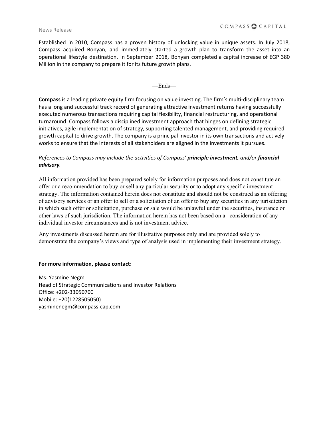#### News Release

Established in 2010, Compass has a proven history of unlocking value in unique assets. In July 2018, Compass acquired Bonyan, and immediately started a growth plan to transform the asset into an operational lifestyle destination. In September 2018, Bonyan completed a capital increase of EGP 380 Million in the company to prepare it for its future growth plans.

—Ends—

**Compass** is a leading private equity firm focusing on value investing. The firm's multi-disciplinary team has a long and successful track record of generating attractive investment returns having successfully executed numerous transactions requiring capital flexibility, financial restructuring, and operational turnaround. Compass follows a disciplined investment approach that hinges on defining strategic initiatives, agile implementation of strategy, supporting talented management, and providing required growth capital to drive growth. The company is a principal investor in its own transactions and actively works to ensure that the interests of all stakeholders are aligned in the investments it pursues.

# *References to Compass may include the activities of Compass' principle investment, and/or financial advisory.*

All information provided has been prepared solely for information purposes and does not constitute an offer or a recommendation to buy or sell any particular security or to adopt any specific investment strategy. The information contained herein does not constitute and should not be construed as an offering of advisory services or an offer to sell or a solicitation of an offer to buy any securities in any jurisdiction in which such offer or solicitation, purchase or sale would be unlawful under the securities, insurance or other laws of such jurisdiction. The information herein has not been based on a consideration of any individual investor circumstances and is not investment advice.

Any investments discussed herein are for illustrative purposes only and are provided solely to demonstrate the company's views and type of analysis used in implementing their investment strategy.

## **For more information, please contact:**

Ms. Yasmine Negm Head of Strategic Communications and Investor Relations Office: +202-33050700 Mobile: +20(1228505050) [yasminenegm@compass-cap.com](mailto:yasminenegm@compass-cap.com)